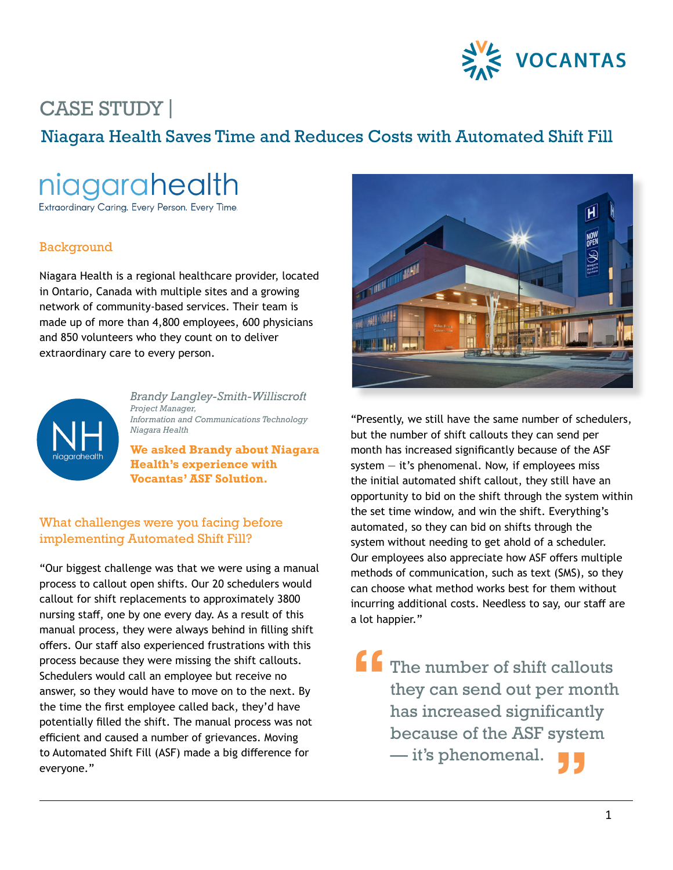

## CASE STUDY |

Niagara Health Saves Time and Reduces Costs with Automated Shift Fill

# niagarahealth

Extraordinary Caring. Every Person. Every Time.

#### Background

Niagara Health is a regional healthcare provider, located in Ontario, Canada with multiple sites and a growing network of community-based services. Their team is made up of more than 4,800 employees, 600 physicians and 850 volunteers who they count on to deliver extraordinary care to every person.



*Brandy Langley-Smith-Williscroft Project Manager, Information and Communications Technology Niagara Health*

**We asked Brandy about Niagara Health's experience with Vocantas' ASF Solution.** 

#### What challenges were you facing before implementing Automated Shift Fill?

"Our biggest challenge was that we were using a manual process to callout open shifts. Our 20 schedulers would callout for shift replacements to approximately 3800 nursing staff, one by one every day. As a result of this manual process, they were always behind in filling shift offers. Our staff also experienced frustrations with this process because they were missing the shift callouts. Schedulers would call an employee but receive no answer, so they would have to move on to the next. By the time the first employee called back, they'd have potentially filled the shift. The manual process was not efficient and caused a number of grievances. Moving to Automated Shift Fill (ASF) made a big difference for everyone."



"Presently, we still have the same number of schedulers, but the number of shift callouts they can send per month has increased significantly because of the ASF system  $-$  it's phenomenal. Now, if employees miss the initial automated shift callout, they still have an opportunity to bid on the shift through the system within the set time window, and win the shift. Everything's automated, so they can bid on shifts through the system without needing to get ahold of a scheduler. Our employees also appreciate how ASF offers multiple methods of communication, such as text (SMS), so they can choose what method works best for them without incurring additional costs. Needless to say, our staff are a lot happier."

The number of shift callouts they can send out per month has increased significantly because of the ASF system — it's phenomenal. **" "**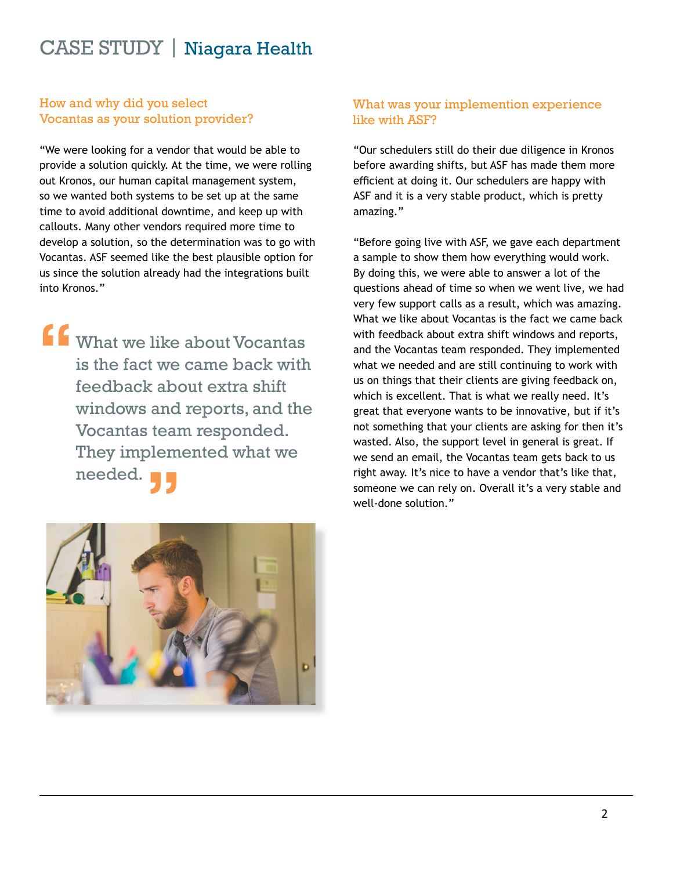## CASE STUDY | Niagara Health

#### How and why did you select Vocantas as your solution provider?

"We were looking for a vendor that would be able to provide a solution quickly. At the time, we were rolling out Kronos, our human capital management system, so we wanted both systems to be set up at the same time to avoid additional downtime, and keep up with callouts. Many other vendors required more time to develop a solution, so the determination was to go with Vocantas. ASF seemed like the best plausible option for us since the solution already had the integrations built into Kronos."

What we like about Vocantas is the fact we came back with feedback about extra shift windows and reports, and the Vocantas team responded. They implemented what we needed. needed. **"**

#### What was your implemention experience like with ASF?

"Our schedulers still do their due diligence in Kronos before awarding shifts, but ASF has made them more efficient at doing it. Our schedulers are happy with ASF and it is a very stable product, which is pretty amazing."

"Before going live with ASF, we gave each department a sample to show them how everything would work. By doing this, we were able to answer a lot of the questions ahead of time so when we went live, we had very few support calls as a result, which was amazing. What we like about Vocantas is the fact we came back with feedback about extra shift windows and reports, and the Vocantas team responded. They implemented what we needed and are still continuing to work with us on things that their clients are giving feedback on, which is excellent. That is what we really need. It's great that everyone wants to be innovative, but if it's not something that your clients are asking for then it's wasted. Also, the support level in general is great. If we send an email, the Vocantas team gets back to us right away. It's nice to have a vendor that's like that, someone we can rely on. Overall it's a very stable and well-done solution."